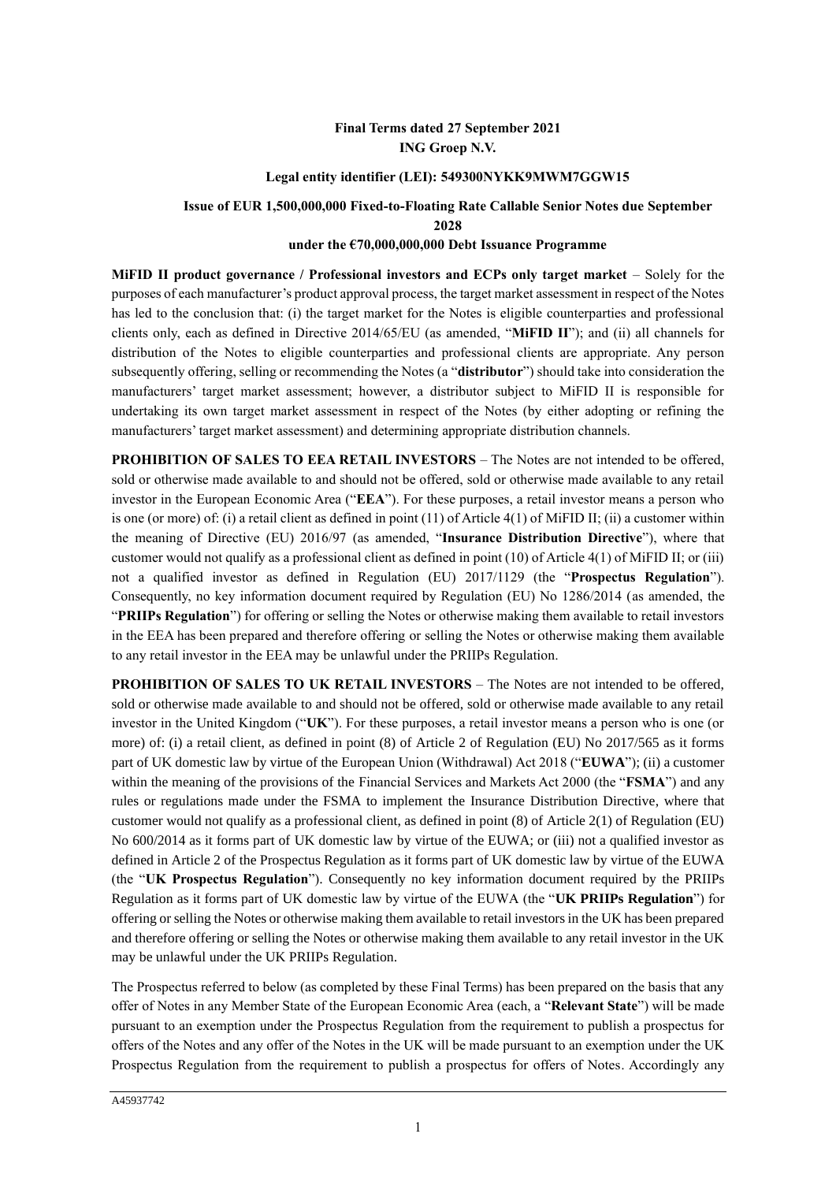# **Final Terms dated 27 September 2021 ING Groep N.V.**

## **Legal entity identifier (LEI): 549300NYKK9MWM7GGW15**

### **Issue of EUR 1,500,000,000 Fixed-to-Floating Rate Callable Senior Notes due September 2028**

### **under the €70,000,000,000 Debt Issuance Programme**

**MiFID II product governance / Professional investors and ECPs only target market** – Solely for the purposes of each manufacturer's product approval process, the target market assessment in respect of the Notes has led to the conclusion that: (i) the target market for the Notes is eligible counterparties and professional clients only, each as defined in Directive 2014/65/EU (as amended, "**MiFID II**"); and (ii) all channels for distribution of the Notes to eligible counterparties and professional clients are appropriate. Any person subsequently offering, selling or recommending the Notes (a "**distributor**") should take into consideration the manufacturers' target market assessment; however, a distributor subject to MiFID II is responsible for undertaking its own target market assessment in respect of the Notes (by either adopting or refining the manufacturers' target market assessment) and determining appropriate distribution channels.

**PROHIBITION OF SALES TO EEA RETAIL INVESTORS** – The Notes are not intended to be offered, sold or otherwise made available to and should not be offered, sold or otherwise made available to any retail investor in the European Economic Area ("**EEA**"). For these purposes, a retail investor means a person who is one (or more) of: (i) a retail client as defined in point (11) of Article 4(1) of MiFID II; (ii) a customer within the meaning of Directive (EU) 2016/97 (as amended, "**Insurance Distribution Directive**"), where that customer would not qualify as a professional client as defined in point (10) of Article 4(1) of MiFID II; or (iii) not a qualified investor as defined in Regulation (EU) 2017/1129 (the "**Prospectus Regulation**"). Consequently, no key information document required by Regulation (EU) No 1286/2014 (as amended, the "**PRIIPs Regulation**") for offering or selling the Notes or otherwise making them available to retail investors in the EEA has been prepared and therefore offering or selling the Notes or otherwise making them available to any retail investor in the EEA may be unlawful under the PRIIPs Regulation.

**PROHIBITION OF SALES TO UK RETAIL INVESTORS** – The Notes are not intended to be offered, sold or otherwise made available to and should not be offered, sold or otherwise made available to any retail investor in the United Kingdom ("**UK**"). For these purposes, a retail investor means a person who is one (or more) of: (i) a retail client, as defined in point (8) of Article 2 of Regulation (EU) No 2017/565 as it forms part of UK domestic law by virtue of the European Union (Withdrawal) Act 2018 ("**EUWA**"); (ii) a customer within the meaning of the provisions of the Financial Services and Markets Act 2000 (the "**FSMA**") and any rules or regulations made under the FSMA to implement the Insurance Distribution Directive, where that customer would not qualify as a professional client, as defined in point (8) of Article 2(1) of Regulation (EU) No 600/2014 as it forms part of UK domestic law by virtue of the EUWA; or (iii) not a qualified investor as defined in Article 2 of the Prospectus Regulation as it forms part of UK domestic law by virtue of the EUWA (the "**UK Prospectus Regulation**"). Consequently no key information document required by the PRIIPs Regulation as it forms part of UK domestic law by virtue of the EUWA (the "**UK PRIIPs Regulation**") for offering or selling the Notes or otherwise making them available to retail investors in the UK has been prepared and therefore offering or selling the Notes or otherwise making them available to any retail investor in the UK may be unlawful under the UK PRIIPs Regulation.

The Prospectus referred to below (as completed by these Final Terms) has been prepared on the basis that any offer of Notes in any Member State of the European Economic Area (each, a "**Relevant State**") will be made pursuant to an exemption under the Prospectus Regulation from the requirement to publish a prospectus for offers of the Notes and any offer of the Notes in the UK will be made pursuant to an exemption under the UK Prospectus Regulation from the requirement to publish a prospectus for offers of Notes. Accordingly any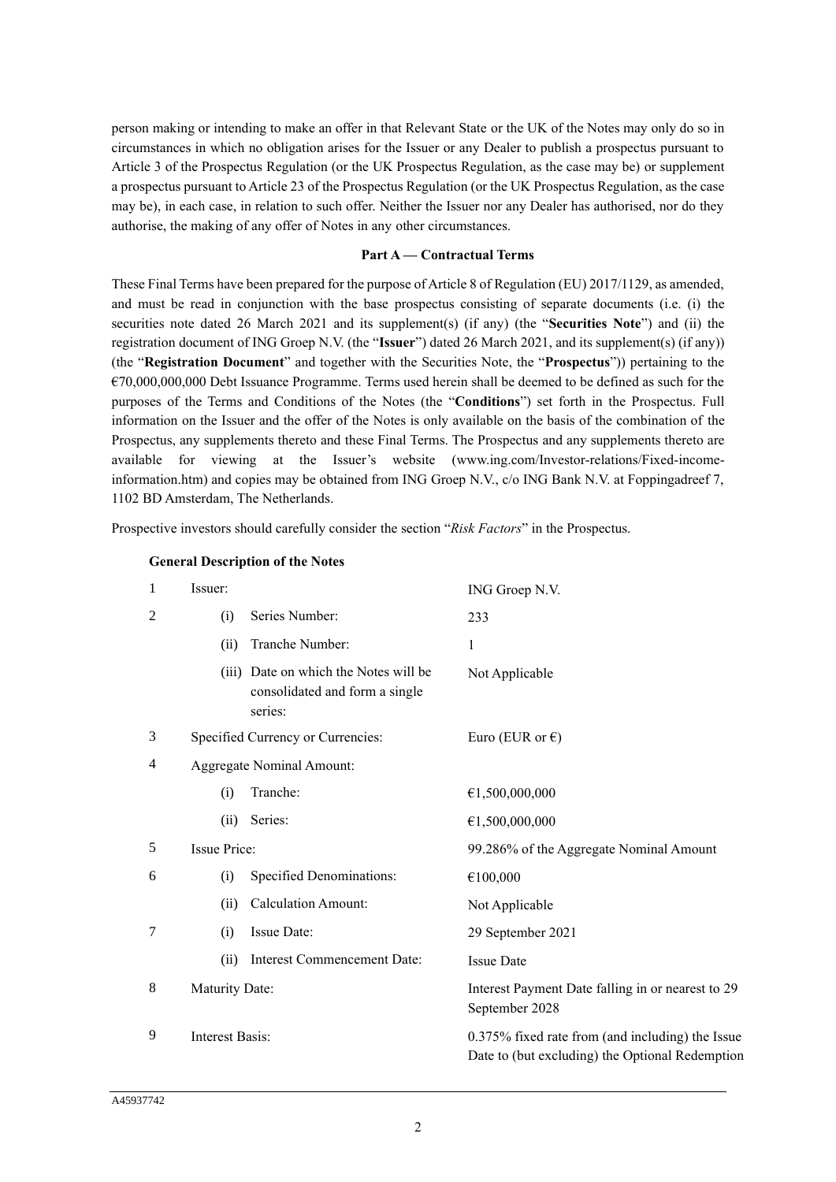person making or intending to make an offer in that Relevant State or the UK of the Notes may only do so in circumstances in which no obligation arises for the Issuer or any Dealer to publish a prospectus pursuant to Article 3 of the Prospectus Regulation (or the UK Prospectus Regulation, as the case may be) or supplement a prospectus pursuant to Article 23 of the Prospectus Regulation (or the UK Prospectus Regulation, as the case may be), in each case, in relation to such offer. Neither the Issuer nor any Dealer has authorised, nor do they authorise, the making of any offer of Notes in any other circumstances.

#### **Part A — Contractual Terms**

These Final Terms have been prepared for the purpose of Article 8 of Regulation (EU) 2017/1129, as amended, and must be read in conjunction with the base prospectus consisting of separate documents (i.e. (i) the securities note dated 26 March 2021 and its supplement(s) (if any) (the "**Securities Note**") and (ii) the registration document of ING Groep N.V. (the "**Issuer**") dated 26 March 2021, and its supplement(s) (if any)) (the "**Registration Document**" and together with the Securities Note, the "**Prospectus**")) pertaining to the  $€70,000,000,000$  Debt Issuance Programme. Terms used herein shall be deemed to be defined as such for the purposes of the Terms and Conditions of the Notes (the "**Conditions**") set forth in the Prospectus. Full information on the Issuer and the offer of the Notes is only available on the basis of the combination of the Prospectus, any supplements thereto and these Final Terms. The Prospectus and any supplements thereto are available for viewing at the Issuer's website (www.ing.com/Investor-relations/Fixed-incomeinformation.htm) and copies may be obtained from ING Groep N.V., c/o ING Bank N.V. at Foppingadreef 7, 1102 BD Amsterdam, The Netherlands.

Prospective investors should carefully consider the section "*Risk Factors*" in the Prospectus.

| 1              | Issuer:                |                                                                                    | ING Groep N.V.                                                                                      |
|----------------|------------------------|------------------------------------------------------------------------------------|-----------------------------------------------------------------------------------------------------|
| $\overline{2}$ | (i)                    | Series Number:                                                                     | 233                                                                                                 |
|                | (ii)                   | Tranche Number:                                                                    | 1                                                                                                   |
|                |                        | (iii) Date on which the Notes will be<br>consolidated and form a single<br>series: | Not Applicable                                                                                      |
| 3              |                        | Specified Currency or Currencies:                                                  | Euro (EUR or $\epsilon$ )                                                                           |
| 4              |                        | <b>Aggregate Nominal Amount:</b>                                                   |                                                                                                     |
|                | (i)                    | Tranche:                                                                           | €1,500,000,000                                                                                      |
|                | (ii)                   | Series:                                                                            | €1,500,000,000                                                                                      |
| 5              | <b>Issue Price:</b>    |                                                                                    | 99.286% of the Aggregate Nominal Amount                                                             |
| 6              | (i)                    | <b>Specified Denominations:</b>                                                    | €100,000                                                                                            |
|                | (ii)                   | <b>Calculation Amount:</b>                                                         | Not Applicable                                                                                      |
| 7              | (i)                    | Issue Date:                                                                        | 29 September 2021                                                                                   |
|                | (ii)                   | <b>Interest Commencement Date:</b>                                                 | <b>Issue Date</b>                                                                                   |
| 8              | Maturity Date:         |                                                                                    | Interest Payment Date falling in or nearest to 29<br>September 2028                                 |
| 9              | <b>Interest Basis:</b> |                                                                                    | 0.375% fixed rate from (and including) the Issue<br>Date to (but excluding) the Optional Redemption |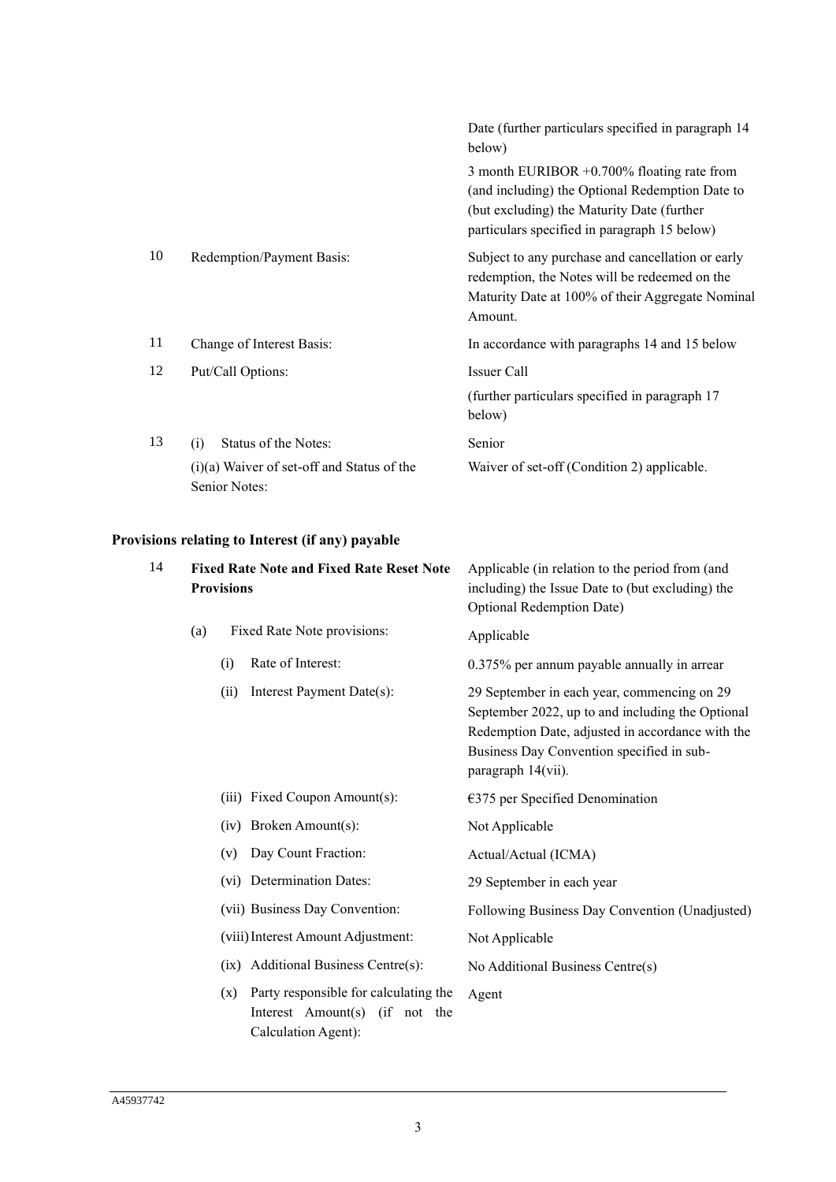|    |                                                                                              | Date (further particulars specified in paragraph 14<br>below)                                                                                                                                  |
|----|----------------------------------------------------------------------------------------------|------------------------------------------------------------------------------------------------------------------------------------------------------------------------------------------------|
|    |                                                                                              | 3 month EURIBOR $+0.700\%$ floating rate from<br>(and including) the Optional Redemption Date to<br>(but excluding) the Maturity Date (further<br>particulars specified in paragraph 15 below) |
| 10 | Redemption/Payment Basis:                                                                    | Subject to any purchase and cancellation or early<br>redemption, the Notes will be redeemed on the<br>Maturity Date at 100% of their Aggregate Nominal<br>Amount.                              |
| 11 | Change of Interest Basis:                                                                    | In accordance with paragraphs 14 and 15 below                                                                                                                                                  |
| 12 | Put/Call Options:                                                                            | Issuer Call<br>(further particulars specified in paragraph 17<br>below)                                                                                                                        |
| 13 | Status of the Notes:<br>(i)<br>$(i)(a)$ Waiver of set-off and Status of the<br>Senior Notes: | Senior<br>Waiver of set-off (Condition 2) applicable.                                                                                                                                          |

# **Provisions relating to Interest (if any) payable**

| 14 |     | <b>Provisions</b> | <b>Fixed Rate Note and Fixed Rate Reset Note</b>                                               | Applicable (in relation to the period from (and<br>including) the Issue Date to (but excluding) the<br>Optional Redemption Date)                                                                                       |  |
|----|-----|-------------------|------------------------------------------------------------------------------------------------|------------------------------------------------------------------------------------------------------------------------------------------------------------------------------------------------------------------------|--|
|    | (a) |                   | Fixed Rate Note provisions:                                                                    | Applicable                                                                                                                                                                                                             |  |
|    |     | (i)               | Rate of Interest:                                                                              | 0.375% per annum payable annually in arrear                                                                                                                                                                            |  |
|    |     | (ii)              | Interest Payment Date(s):                                                                      | 29 September in each year, commencing on 29<br>September 2022, up to and including the Optional<br>Redemption Date, adjusted in accordance with the<br>Business Day Convention specified in sub-<br>paragraph 14(vii). |  |
|    |     |                   | (iii) Fixed Coupon Amount(s):                                                                  | $€375$ per Specified Denomination                                                                                                                                                                                      |  |
|    |     |                   | (iv) Broken Amount(s):                                                                         | Not Applicable                                                                                                                                                                                                         |  |
|    |     | (v)               | Day Count Fraction:                                                                            | Actual/Actual (ICMA)                                                                                                                                                                                                   |  |
|    |     |                   | (vi) Determination Dates:                                                                      | 29 September in each year                                                                                                                                                                                              |  |
|    |     |                   | (vii) Business Day Convention:                                                                 | Following Business Day Convention (Unadjusted)                                                                                                                                                                         |  |
|    |     |                   | (viii) Interest Amount Adjustment:                                                             | Not Applicable                                                                                                                                                                                                         |  |
|    |     |                   | (ix) Additional Business Centre(s):                                                            | No Additional Business Centre(s)                                                                                                                                                                                       |  |
|    |     | (x)               | Party responsible for calculating the<br>Interest Amount(s) (if not the<br>Calculation Agent): | Agent                                                                                                                                                                                                                  |  |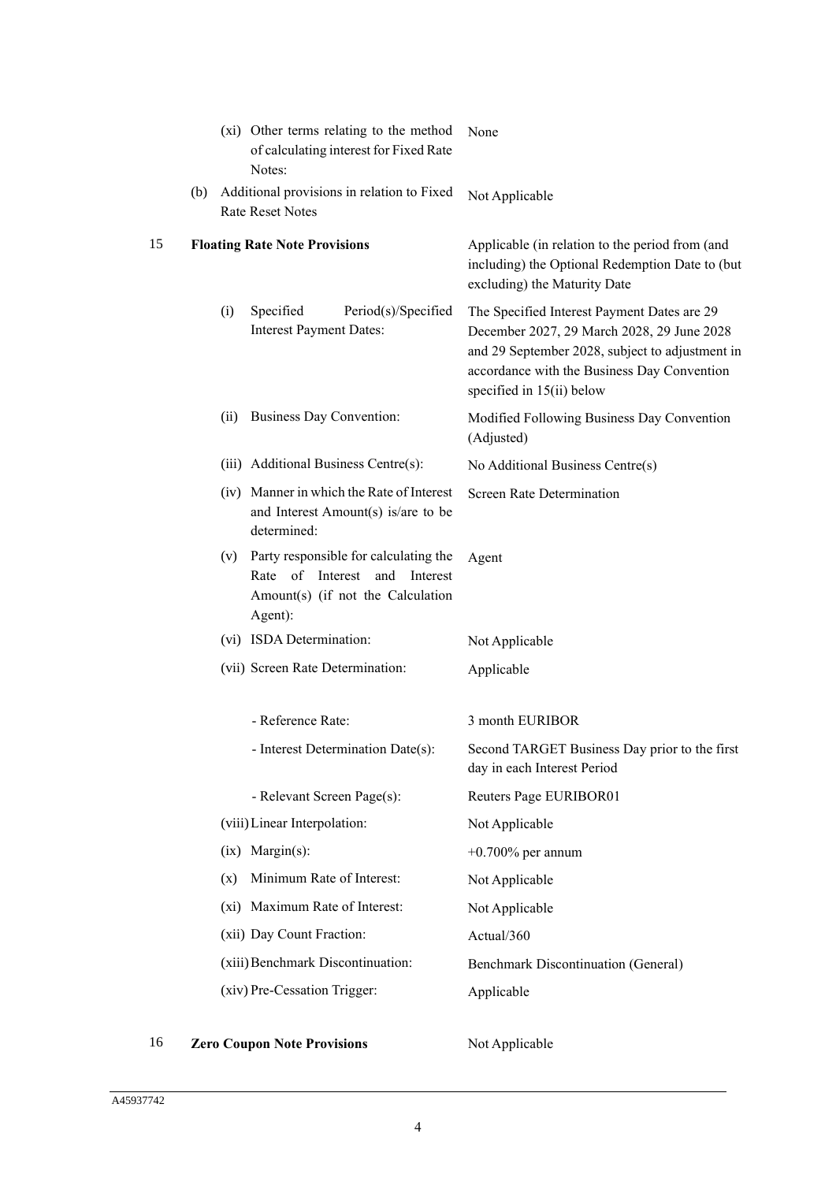|    |     |      | (xi) Other terms relating to the method<br>of calculating interest for Fixed Rate<br>Notes:                                            | None                                                                                                                                                                                                                     |
|----|-----|------|----------------------------------------------------------------------------------------------------------------------------------------|--------------------------------------------------------------------------------------------------------------------------------------------------------------------------------------------------------------------------|
|    | (b) |      | Additional provisions in relation to Fixed<br><b>Rate Reset Notes</b>                                                                  | Not Applicable                                                                                                                                                                                                           |
| 15 |     |      | <b>Floating Rate Note Provisions</b>                                                                                                   | Applicable (in relation to the period from (and<br>including) the Optional Redemption Date to (but<br>excluding) the Maturity Date                                                                                       |
|    |     | (i)  | Specified<br>Period(s)/Specified<br><b>Interest Payment Dates:</b>                                                                     | The Specified Interest Payment Dates are 29<br>December 2027, 29 March 2028, 29 June 2028<br>and 29 September 2028, subject to adjustment in<br>accordance with the Business Day Convention<br>specified in 15(ii) below |
|    |     | (ii) | Business Day Convention:                                                                                                               | Modified Following Business Day Convention<br>(Adjusted)                                                                                                                                                                 |
|    |     |      | (iii) Additional Business Centre(s):                                                                                                   | No Additional Business Centre(s)                                                                                                                                                                                         |
|    |     |      | (iv) Manner in which the Rate of Interest<br>and Interest Amount(s) is/are to be<br>determined:                                        | <b>Screen Rate Determination</b>                                                                                                                                                                                         |
|    |     |      | (v) Party responsible for calculating the<br>of<br>Interest<br>Rate<br>and<br>Interest<br>Amount(s) (if not the Calculation<br>Agent): | Agent                                                                                                                                                                                                                    |
|    |     |      | (vi) ISDA Determination:                                                                                                               | Not Applicable                                                                                                                                                                                                           |
|    |     |      | (vii) Screen Rate Determination:                                                                                                       | Applicable                                                                                                                                                                                                               |
|    |     |      | - Reference Rate:                                                                                                                      | 3 month EURIBOR                                                                                                                                                                                                          |
|    |     |      | Interest Determination Date(s):                                                                                                        | Second TARGET Business Day prior to the first<br>day in each Interest Period                                                                                                                                             |
|    |     |      | - Relevant Screen Page(s):                                                                                                             | Reuters Page EURIBOR01                                                                                                                                                                                                   |
|    |     |      | (viii) Linear Interpolation:                                                                                                           | Not Applicable                                                                                                                                                                                                           |
|    |     |      | $(ix)$ Margin $(s)$ :                                                                                                                  | $+0.700\%$ per annum                                                                                                                                                                                                     |
|    |     | (x)  | Minimum Rate of Interest:                                                                                                              | Not Applicable                                                                                                                                                                                                           |
|    |     |      | (xi) Maximum Rate of Interest:                                                                                                         | Not Applicable                                                                                                                                                                                                           |
|    |     |      | (xii) Day Count Fraction:                                                                                                              | Actual/360                                                                                                                                                                                                               |
|    |     |      | (xiii) Benchmark Discontinuation:                                                                                                      | <b>Benchmark Discontinuation (General)</b>                                                                                                                                                                               |
|    |     |      | (xiv) Pre-Cessation Trigger:                                                                                                           | Applicable                                                                                                                                                                                                               |
|    |     |      |                                                                                                                                        |                                                                                                                                                                                                                          |

# 16 **Zero Coupon Note Provisions** Not Applicable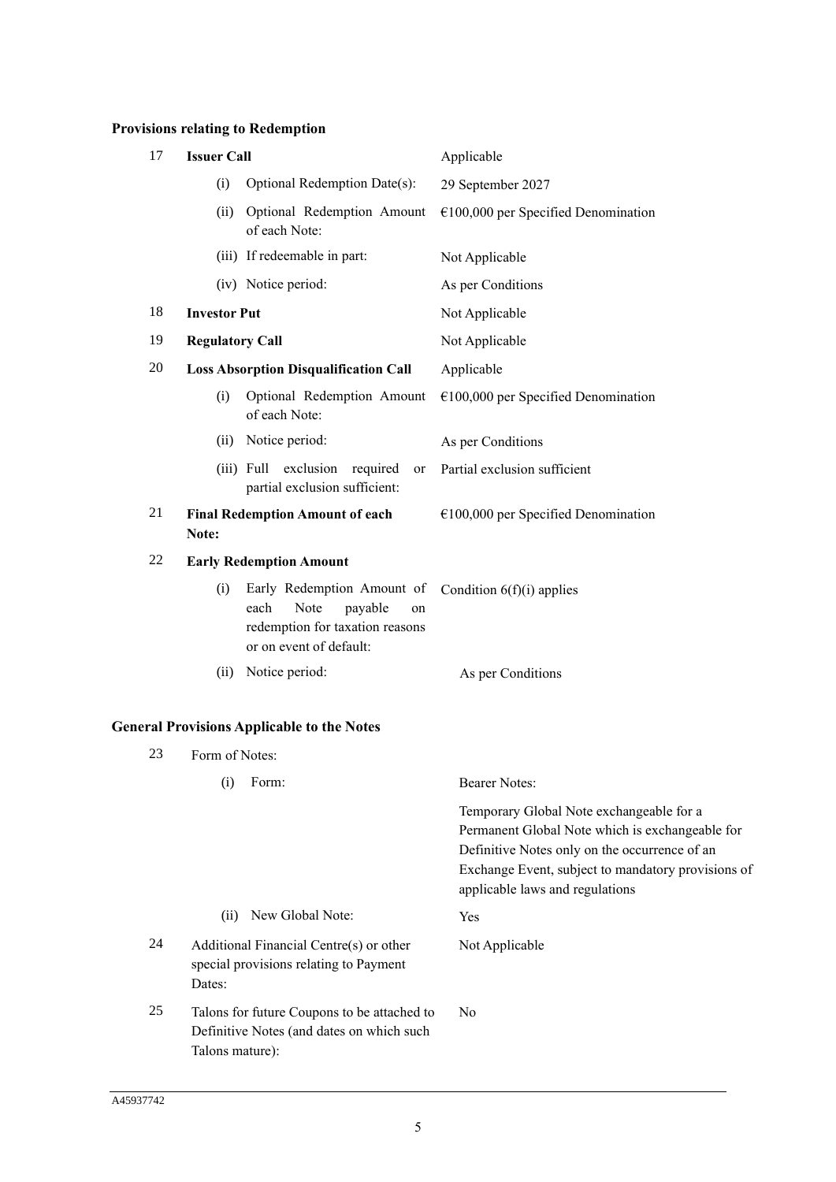# **Provisions relating to Redemption**

| 17 | <b>Issuer Call</b>                                                                                                               | Applicable                                                                                                                                                                                                                            |
|----|----------------------------------------------------------------------------------------------------------------------------------|---------------------------------------------------------------------------------------------------------------------------------------------------------------------------------------------------------------------------------------|
|    | (i)<br>Optional Redemption Date(s):                                                                                              | 29 September 2027                                                                                                                                                                                                                     |
|    | Optional Redemption Amount<br>(ii)<br>of each Note:                                                                              | $€100,000$ per Specified Denomination                                                                                                                                                                                                 |
|    | (iii) If redeemable in part:                                                                                                     | Not Applicable                                                                                                                                                                                                                        |
|    | (iv) Notice period:                                                                                                              | As per Conditions                                                                                                                                                                                                                     |
| 18 | <b>Investor Put</b>                                                                                                              | Not Applicable                                                                                                                                                                                                                        |
| 19 | <b>Regulatory Call</b>                                                                                                           | Not Applicable                                                                                                                                                                                                                        |
| 20 | <b>Loss Absorption Disqualification Call</b>                                                                                     | Applicable                                                                                                                                                                                                                            |
|    | Optional Redemption Amount<br>(i)<br>of each Note:                                                                               | $€100,000$ per Specified Denomination                                                                                                                                                                                                 |
|    | Notice period:<br>(ii)                                                                                                           | As per Conditions                                                                                                                                                                                                                     |
|    | exclusion required<br>$(iii)$ Full<br>or<br>partial exclusion sufficient:                                                        | Partial exclusion sufficient                                                                                                                                                                                                          |
| 21 | <b>Final Redemption Amount of each</b><br>Note:                                                                                  | $€100,000$ per Specified Denomination                                                                                                                                                                                                 |
| 22 | <b>Early Redemption Amount</b>                                                                                                   |                                                                                                                                                                                                                                       |
|    | Early Redemption Amount of<br>(i)<br>Note<br>each<br>payable<br>on<br>redemption for taxation reasons<br>or on event of default: | Condition $6(f)(i)$ applies                                                                                                                                                                                                           |
|    | (ii)<br>Notice period:                                                                                                           | As per Conditions                                                                                                                                                                                                                     |
|    | <b>General Provisions Applicable to the Notes</b>                                                                                |                                                                                                                                                                                                                                       |
| 23 | Form of Notes:                                                                                                                   |                                                                                                                                                                                                                                       |
|    | Form:<br>(i)                                                                                                                     | <b>Bearer Notes:</b>                                                                                                                                                                                                                  |
|    |                                                                                                                                  | Temporary Global Note exchangeable for a<br>Permanent Global Note which is exchangeable for<br>Definitive Notes only on the occurrence of an<br>Exchange Event, subject to mandatory provisions of<br>applicable laws and regulations |
|    | New Global Note:<br>(ii)                                                                                                         | Yes                                                                                                                                                                                                                                   |
| 24 | Additional Financial Centre(s) or other<br>special provisions relating to Payment<br>Dates:                                      | Not Applicable                                                                                                                                                                                                                        |
| 25 | Talons for future Coupons to be attached to<br>Definitive Notes (and dates on which such<br>Talons mature):                      | N <sub>0</sub>                                                                                                                                                                                                                        |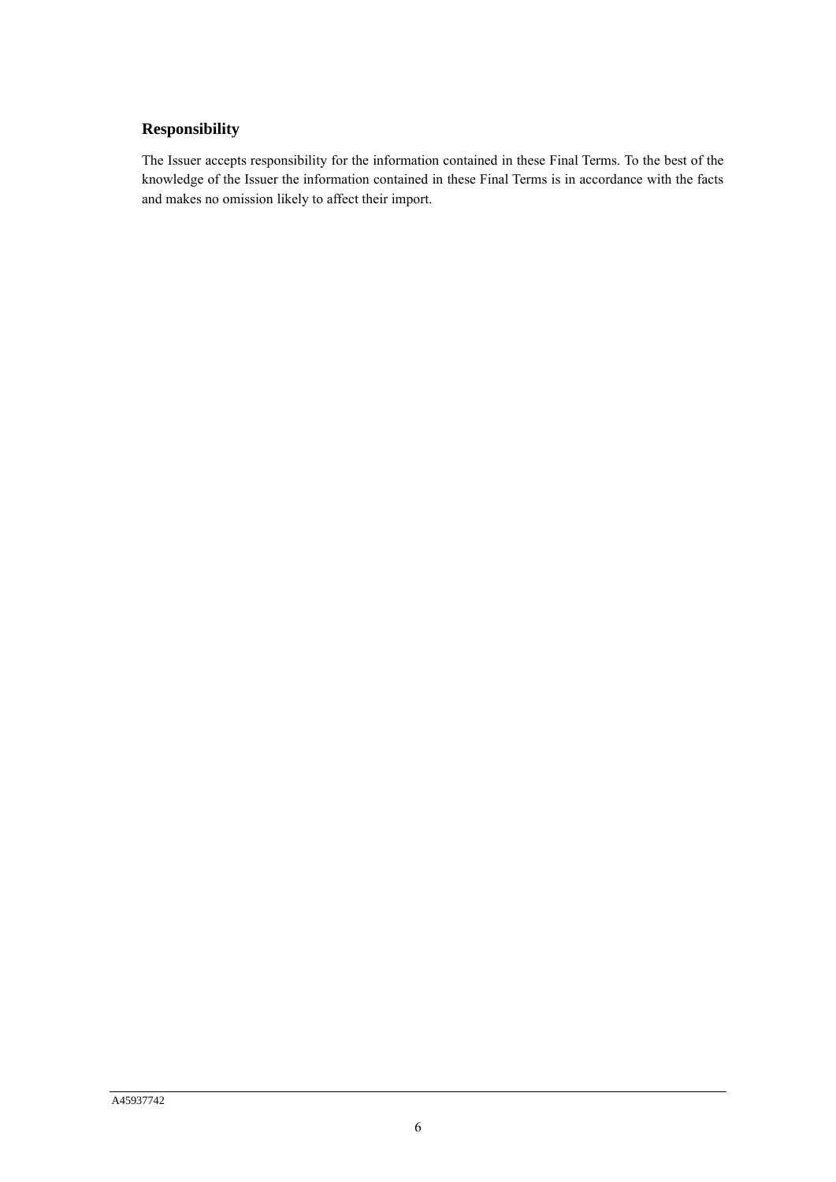# **Responsibility**

The Issuer accepts responsibility for the information contained in these Final Terms. To the best of the knowledge of the Issuer the information contained in these Final Terms is in accordance with the facts and makes no omission likely to affect their import.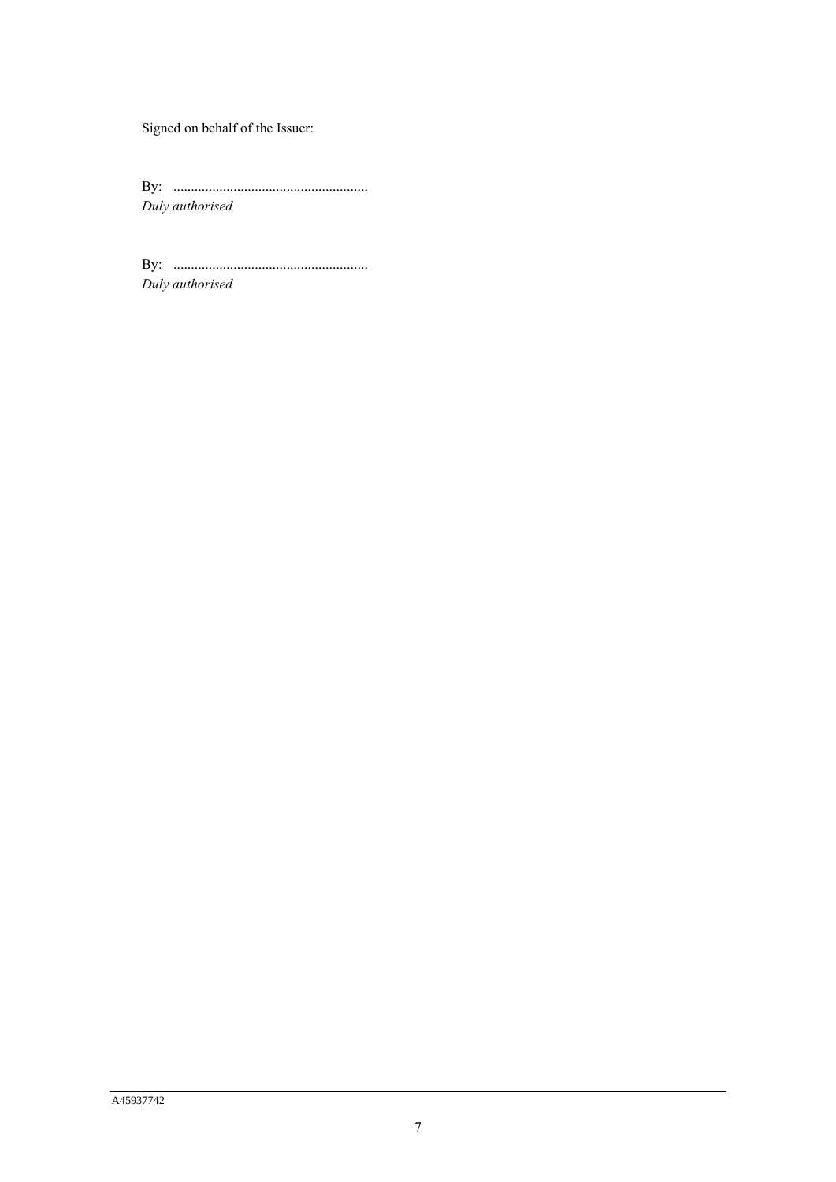Signed on behalf of the Issuer:

By: ....................................................... *Duly authorised*

By: ....................................................... *Duly authorised*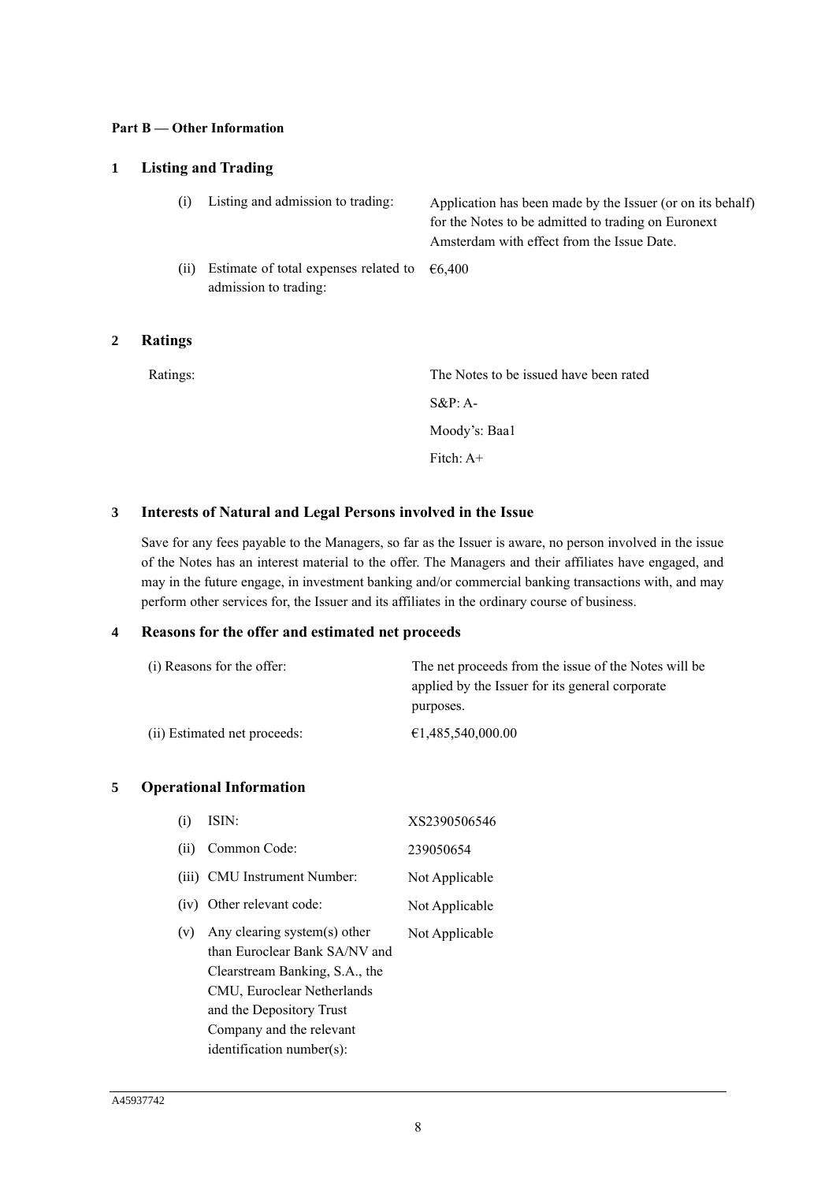### **Part B — Other Information**

# **1 Listing and Trading**

| (i)  | Listing and admission to trading:                              | Application has been made by the Issuer (or on its behalf)<br>for the Notes to be admitted to trading on Euronext<br>Amsterdam with effect from the Issue Date. |
|------|----------------------------------------------------------------|-----------------------------------------------------------------------------------------------------------------------------------------------------------------|
| (ii) | Estimate of total expenses related to<br>admission to trading: | 66.400                                                                                                                                                          |

# **2 Ratings**

| Ratings: | The Notes to be issued have been rated |
|----------|----------------------------------------|
|          | $S\&P: A-$                             |
|          | Moody's: Baa1                          |
|          | Fitch: $A+$                            |
|          |                                        |

## **3 Interests of Natural and Legal Persons involved in the Issue**

Save for any fees payable to the Managers, so far as the Issuer is aware, no person involved in the issue of the Notes has an interest material to the offer. The Managers and their affiliates have engaged, and may in the future engage, in investment banking and/or commercial banking transactions with, and may perform other services for, the Issuer and its affiliates in the ordinary course of business.

## **4 Reasons for the offer and estimated net proceeds**

| (i) Reasons for the offer:   | The net proceeds from the issue of the Notes will be |
|------------------------------|------------------------------------------------------|
|                              | applied by the Issuer for its general corporate      |
|                              | purposes.                                            |
| (ii) Estimated net proceeds: | €1.485,540,000.00                                    |

## **5 Operational Information**

| (i)  | ISIN:                                                                                                                                                                                                                 | XS2390506546   |
|------|-----------------------------------------------------------------------------------------------------------------------------------------------------------------------------------------------------------------------|----------------|
| (ii) | Common Code:                                                                                                                                                                                                          | 239050654      |
|      | (iii) CMU Instrument Number:                                                                                                                                                                                          | Not Applicable |
|      | (iv) Other relevant code:                                                                                                                                                                                             | Not Applicable |
| (v)  | Any clearing system(s) other<br>than Euroclear Bank SA/NV and<br>Clearstream Banking, S.A., the<br>CMU, Euroclear Netherlands<br>and the Depository Trust<br>Company and the relevant<br>$identification number(s)$ : | Not Applicable |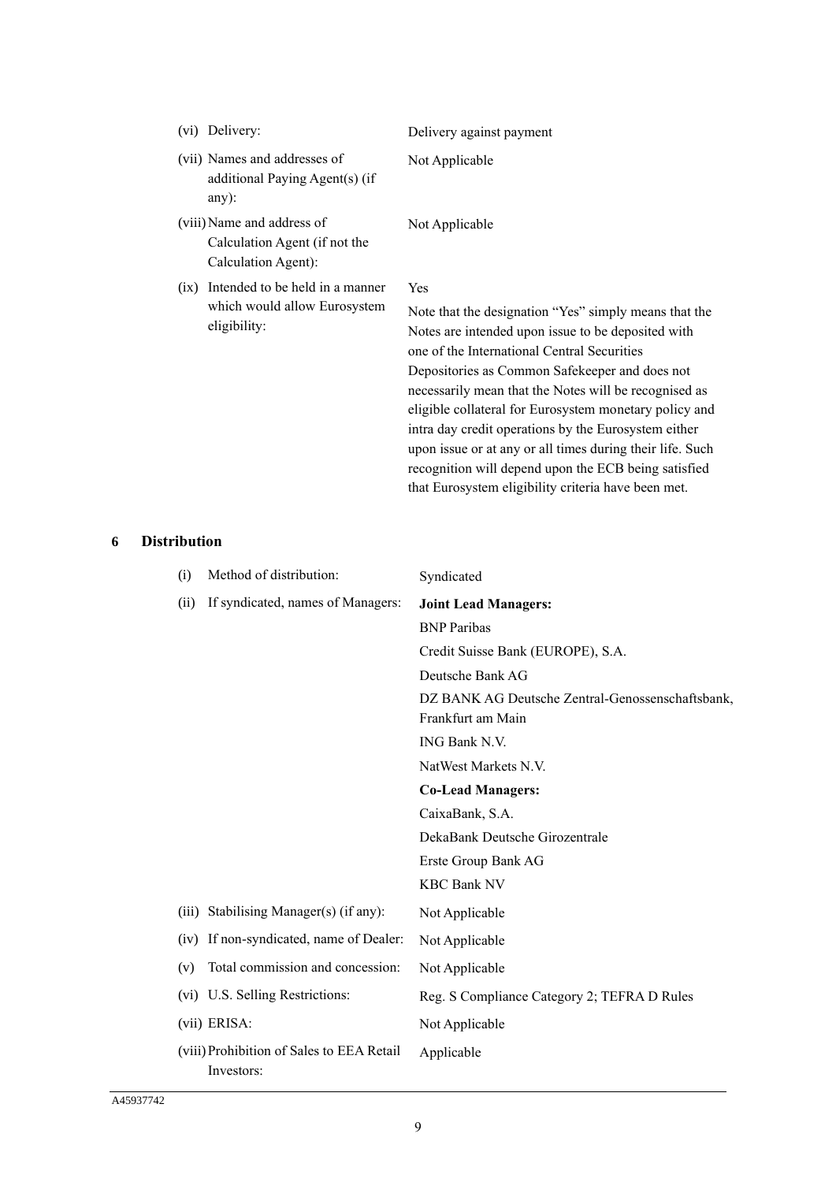|  | (vi) Delivery:                                                                       | Delivery against payment                                                                                                                                                                                                                                                                                                                                                                                                                                                                                                   |
|--|--------------------------------------------------------------------------------------|----------------------------------------------------------------------------------------------------------------------------------------------------------------------------------------------------------------------------------------------------------------------------------------------------------------------------------------------------------------------------------------------------------------------------------------------------------------------------------------------------------------------------|
|  | (vii) Names and addresses of<br>additional Paying Agent(s) (if<br>$any)$ :           | Not Applicable                                                                                                                                                                                                                                                                                                                                                                                                                                                                                                             |
|  | (viii) Name and address of<br>Calculation Agent (if not the<br>Calculation Agent):   | Not Applicable                                                                                                                                                                                                                                                                                                                                                                                                                                                                                                             |
|  | (ix) Intended to be held in a manner<br>which would allow Eurosystem<br>eligibility: | <b>Yes</b><br>Note that the designation "Yes" simply means that the<br>Notes are intended upon issue to be deposited with<br>one of the International Central Securities<br>Depositories as Common Safekeeper and does not<br>necessarily mean that the Notes will be recognised as<br>eligible collateral for Eurosystem monetary policy and<br>intra day credit operations by the Eurosystem either<br>upon issue or at any or all times during their life. Such<br>recognition will depend upon the ECB being satisfied |

# **6 Distribution**

| (i)   | Method of distribution:                                 | Syndicated                                       |
|-------|---------------------------------------------------------|--------------------------------------------------|
| (ii)  | If syndicated, names of Managers:                       | <b>Joint Lead Managers:</b>                      |
|       |                                                         | <b>BNP</b> Paribas                               |
|       |                                                         | Credit Suisse Bank (EUROPE), S.A.                |
|       |                                                         | Deutsche Bank AG                                 |
|       |                                                         | DZ BANK AG Deutsche Zentral-Genossenschaftsbank, |
|       |                                                         | Frankfurt am Main                                |
|       |                                                         | ING Bank N.V.                                    |
|       |                                                         | NatWest Markets N.V.                             |
|       |                                                         | <b>Co-Lead Managers:</b>                         |
|       |                                                         | CaixaBank, S.A.                                  |
|       |                                                         | DekaBank Deutsche Girozentrale                   |
|       |                                                         | Erste Group Bank AG                              |
|       |                                                         | <b>KBC Bank NV</b>                               |
| (iii) | Stabilising Manager(s) (if any):                        | Not Applicable                                   |
| (iv)  | If non-syndicated, name of Dealer:                      | Not Applicable                                   |
| (v)   | Total commission and concession:                        | Not Applicable                                   |
|       | (vi) U.S. Selling Restrictions:                         | Reg. S Compliance Category 2; TEFRA D Rules      |
|       | (vii) ERISA:                                            | Not Applicable                                   |
|       | (viii) Prohibition of Sales to EEA Retail<br>Investors: | Applicable                                       |

that Eurosystem eligibility criteria have been met.